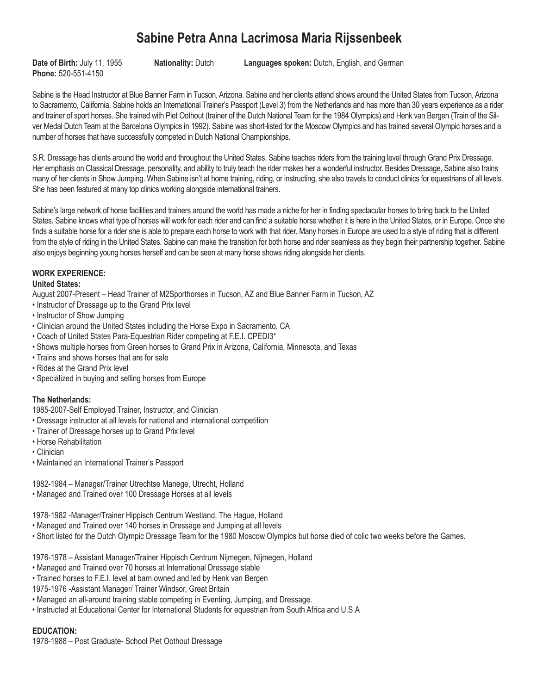# **Sabine Petra Anna Lacrimosa Maria Rijssenbeek**

**Date of Birth:** July 11, 1955 **Nationality:** Dutch **Languages spoken:** Dutch, English, and German **Phone:** 520-551-4150

Sabine is the Head Instructor at Blue Banner Farm in Tucson, Arizona. Sabine and her clients attend shows around the United States from Tucson, Arizona to Sacramento, California. Sabine holds an International Trainer's Passport (Level 3) from the Netherlands and has more than 30 years experience as a rider and trainer of sport horses. She trained with Piet Oothout (trainer of the Dutch National Team for the 1984 Olympics) and Henk van Bergen (Train of the Silver Medal Dutch Team at the Barcelona Olympics in 1992). Sabine was short-listed for the Moscow Olympics and has trained several Olympic horses and a number of horses that have successfully competed in Dutch National Championships.

S.R. Dressage has clients around the world and throughout the United States. Sabine teaches riders from the training level through Grand Prix Dressage. Her emphasis on Classical Dressage, personality, and ability to truly teach the rider makes her a wonderful instructor. Besides Dressage, Sabine also trains many of her clients in Show Jumping. When Sabine isn't at home training, riding, or instructing, she also travels to conduct clinics for equestrians of all levels. She has been featured at many top clinics working alongside international trainers.

Sabine's large network of horse facilities and trainers around the world has made a niche for her in finding spectacular horses to bring back to the United States. Sabine knows what type of horses will work for each rider and can find a suitable horse whether it is here in the United States, or in Europe. Once she finds a suitable horse for a rider she is able to prepare each horse to work with that rider. Many horses in Europe are used to a style of riding that is different from the style of riding in the United States. Sabine can make the transition for both horse and rider seamless as they begin their partnership together. Sabine also enjoys beginning young horses herself and can be seen at many horse shows riding alongside her clients.

## **WORK EXPERIENCE:**

#### **United States:**

August 2007-Present – Head Trainer of M2Sporthorses in Tucson, AZ and Blue Banner Farm in Tucson, AZ

- Instructor of Dressage up to the Grand Prix level
- Instructor of Show Jumping
- Clinician around the United States including the Horse Expo in Sacramento, CA
- Coach of United States Para-Equestrian Rider competing at F.E.I. CPEDI3\*
- Shows multiple horses from Green horses to Grand Prix in Arizona, California, Minnesota, and Texas
- Trains and shows horses that are for sale
- Rides at the Grand Prix level
- Specialized in buying and selling horses from Europe

### **The Netherlands:**

1985-2007-Self Employed Trainer, Instructor, and Clinician

- Dressage instructor at all levels for national and international competition
- Trainer of Dressage horses up to Grand Prix level
- Horse Rehabilitation
- Clinician
- Maintained an International Trainer's Passport
- 1982-1984 Manager/Trainer Utrechtse Manege, Utrecht, Holland
- Managed and Trained over 100 Dressage Horses at all levels

1978-1982 -Manager/Trainer Hippisch Centrum Westland, The Hague, Holland

- Managed and Trained over 140 horses in Dressage and Jumping at all levels
- Short listed for the Dutch Olympic Dressage Team for the 1980 Moscow Olympics but horse died of colic two weeks before the Games.

1976-1978 – Assistant Manager/Trainer Hippisch Centrum Nijmegen, Nijmegen, Holland

- Managed and Trained over 70 horses at International Dressage stable
- Trained horses to F.E.I. level at barn owned and led by Henk van Bergen
- 1975-1976 -Assistant Manager/ Trainer Windsor, Great Britain
- Managed an all-around training stable competing in Eventing, Jumping, and Dressage.
- Instructed at Educational Center for International Students for equestrian from South Africa and U.S.A

## **EDUCATION:**

1978-1988 – Post Graduate- School Piet Oothout Dressage